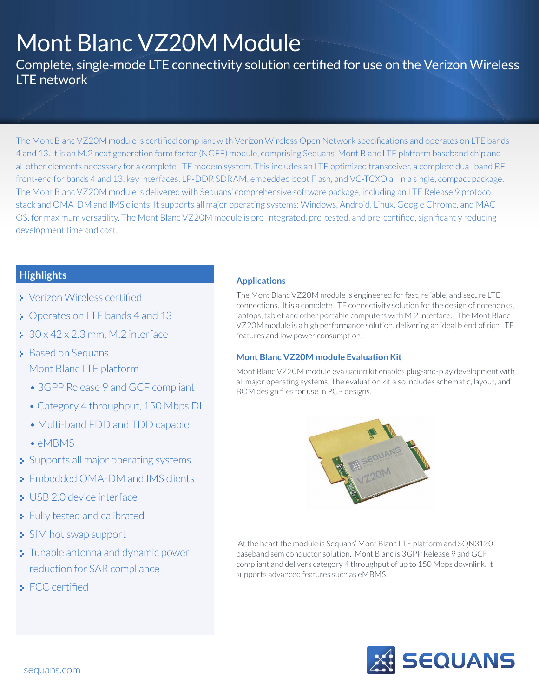# Mont Blanc VZ20M Module

Complete, single-mode LTE connectivity solution certified for use on the Verizon Wireless LTE network

The Mont Blanc VZ20M module is certified compliant with Verizon Wireless Open Network specifications and operates on LTE bands 4 and 13. It is an M.2 next generation form factor (NGFF) module, comprising Sequans' Mont Blanc LTE platform baseband chip and all other elements necessary for a complete LTE modem system. This includes an LTE optimized transceiver, a complete dual-band RF front-end for bands 4 and 13, key interfaces, LP-DDR SDRAM, embedded boot Flash, and VC-TCXO all in a single, compact package. The Mont Blanc VZ20M module is delivered with Sequans' comprehensive software package, including an LTE Release 9 protocol stack and OMA-DM and IMS clients. It supports all major operating systems: Windows, Android, Linux, Google Chrome, and MAC OS, for maximum versatility. The Mont Blanc VZ20M module is pre-integrated, pre-tested, and pre-certified, significantly reducing development time and cost.

# **Highlights**

- Verizon Wireless certified
- **Derates on LTE bands 4 and 13**
- $\approx 30 \times 42 \times 2.3$  mm, M.2 interface
- **Based on Sequans** Mont Blanc LTE platform
	- 3GPP Release 9 and GCF compliant
	- Category 4 throughput, 150 Mbps DL
	- Multi-band FDD and TDD capable
	- eMBMS
- Supports all major operating systems
- **Embedded OMA-DM and IMS clients**
- **USB 2.0 device interface**
- **Fully tested and calibrated**
- SIM hot swap support
- **Tunable antenna and dynamic power** reduction for SAR compliance
- $\blacktriangleright$  FCC certified

### **Applications**

The Mont Blanc VZ20M module is engineered for fast, reliable, and secure LTE connections. It is a complete LTE connectivity solution for the design of notebooks, laptops, tablet and other portable computers with M.2 interface. The Mont Blanc VZ20M module is a high performance solution, delivering an ideal blend of rich LTE features and low power consumption.

#### **Mont Blanc VZ20M module Evaluation Kit**

Mont Blanc VZ20M module evaluation kit enables plug-and-play development with all major operating systems. The evaluation kit also includes schematic, layout, and BOM design files for use in PCB designs.



 At the heart the module is Sequans' Mont Blanc LTE platform and SQN3120 baseband semiconductor solution. Mont Blanc is 3GPP Release 9 and GCF compliant and delivers category 4 throughput of up to 150 Mbps downlink. It supports advanced features such as eMBMS.